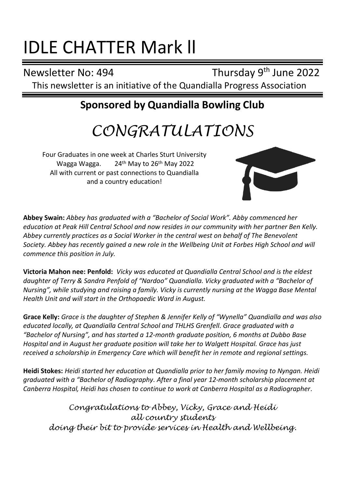# IDLE CHATTER Mark ll

Newsletter No: 494

Thursday 9<sup>th</sup> June 2022 This newsletter is an initiative of the Quandialla Progress Association

# **Sponsored by Quandialla Bowling Club**

# *CONGRATULATIONS*

Four Graduates in one week at Charles Sturt University Wagga Wagga. 24th May to 26th May 2022 All with current or past connections to Quandialla and a country education!



**Abbey Swain:** *Abbey has graduated with a "Bachelor of Social Work". Abby commenced her education at Peak Hill Central School and now resides in our community with her partner Ben Kelly. Abbey currently practices as a Social Worker in the central west on behalf of The Benevolent Society. Abbey has recently gained a new role in the Wellbeing Unit at Forbes High School and will commence this position in July.*

**Victoria Mahon nee: Penfold:** *Vicky was educated at Quandialla Central School and is the eldest daughter of Terry & Sandra Penfold of "Nardoo" Quandialla. Vicky graduated with a "Bachelor of Nursing", while studying and raising a family. Vicky is currently nursing at the Wagga Base Mental Health Unit and will start in the Orthopaedic Ward in August.* 

**Grace Kelly:** *Grace is the daughter of Stephen & Jennifer Kelly of "Wynella" Quandialla and was also educated locally, at Quandialla Central School and THLHS Grenfell. Grace graduated with a "Bachelor of Nursing", and has started a 12-month graduate position, 6 months at Dubbo Base Hospital and in August her graduate position will take her to Walgett Hospital. Grace has just received a scholarship in Emergency Care which will benefit her in remote and regional settings.*

**Heidi Stokes:** *Heidi started her education at Quandialla prior to her family moving to Nyngan. Heidi graduated with a "Bachelor of Radiography. After a final year 12-month scholarship placement at Canberra Hospital, Heidi has chosen to continue to work at Canberra Hospital as a Radiographer.*

*Congratulations to Abbey, Vicky, Grace and Heidi all country students doing their bit to provide services in Health and Wellbeing.*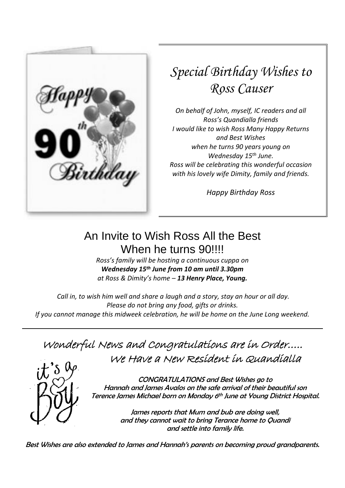

# *Special Birthday Wishes to Ross Causer*

*On behalf of John, myself, IC readers and all Ross's Quandialla friends I would like to wish Ross Many Happy Returns and Best Wishes when he turns 90 years young on Wednesday 15th June. Ross will be celebrating this wonderful occasion with his lovely wife Dimity, family and friends.*

*Happy Birthday Ross*

# An Invite to Wish Ross All the Best When he turns 90!!!!

*Ross's family will be hosting a continuous cuppa on Wednesday 15th June from 10 am until 3.30pm at Ross & Dimity's home – 13 Henry Place, Young.*

*Call in, to wish him well and share a laugh and a story, stay an hour or all day. Please do not bring any food, gifts or drinks. If you cannot manage this midweek celebration, he will be home on the June Long weekend.*

# Wonderful News and Congratulations are in Order….. We Have a New Resident in Quandialla



CONGRATULATIONS and Best Wishes go to Hannah and James Avalos on the safe arrival of their beautiful son Terence James Michael born on Monday 6 th June at Young District Hospital.

> James reports that Mum and bub are doing well, and they cannot wait to bring Terance home to Quandi and settle into family life.

Best Wishes are also extended to James and Hannah's parents on becoming proud grandparents.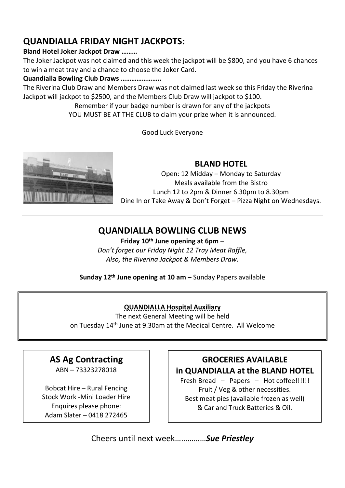## **QUANDIALLA FRIDAY NIGHT JACKPOTS:**

#### **Bland Hotel Joker Jackpot Draw ………**

The Joker Jackpot was not claimed and this week the jackpot will be \$800, and you have 6 chances to win a meat tray and a chance to choose the Joker Card.

#### **Quandialla Bowling Club Draws …………………..**

The Riverina Club Draw and Members Draw was not claimed last week so this Friday the Riverina Jackpot will jackpot to \$2500, and the Members Club Draw will jackpot to \$100.

> Remember if your badge number is drawn for any of the jackpots YOU MUST BE AT THE CLUB to claim your prize when it is announced.

> > Good Luck Everyone



#### **BLAND HOTEL**

Open: 12 Midday – Monday to Saturday Meals available from the Bistro Lunch 12 to 2pm & Dinner 6.30pm to 8.30pm Dine In or Take Away & Don't Forget – Pizza Night on Wednesdays.

### **QUANDIALLA BOWLING CLUB NEWS**

**Friday 10th June opening at 6pm** – *Don't forget our Friday Night 12 Tray Meat Raffle, Also, the Riverina Jackpot & Members Draw.*

**Sunday 12th June opening at 10 am –** Sunday Papers available

#### **QUANDIALLA Hospital Auxiliary**

The next General Meeting will be held on Tuesday 14th June at 9.30am at the Medical Centre. All Welcome

## **AS Ag Contracting**

ABN – 73323278018

Bobcat Hire – Rural Fencing Stock Work -Mini Loader Hire Enquires please phone: Adam Slater – 0418 272465

#### **GROCERIES AVAILABLE in QUANDIALLA at the BLAND HOTEL**

Fresh Bread – Papers – Hot coffee!!!!!! Fruit / Veg & other necessities. Best meat pies (available frozen as well) & Car and Truck Batteries & Oil.

Cheers until next week……………*Sue Priestley*